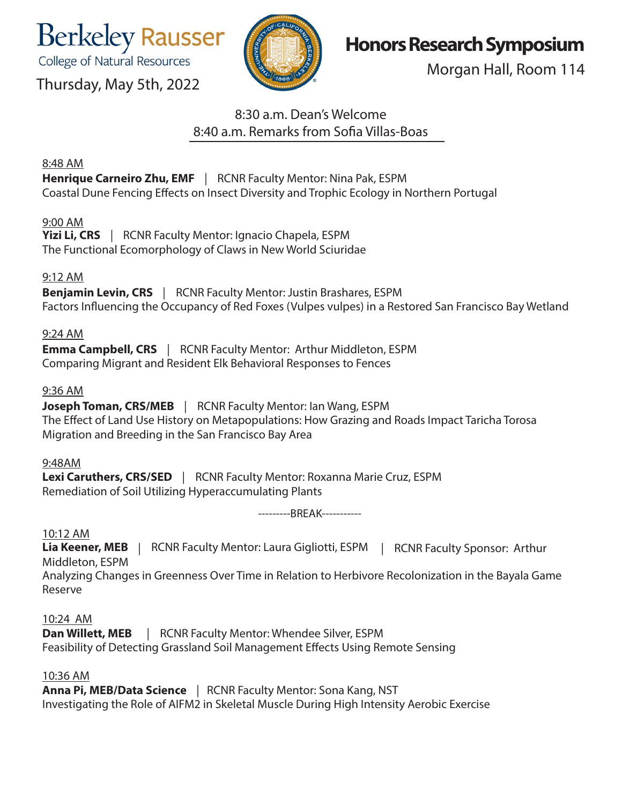**Berkeley Rausser** 

College of Natural Resources

Thursday, May 5th, 2022



# **Honors Research Symposium**

Morgan Hall, Room 114

## 8:30 a.m. Dean's Welcome 8:40 a.m. Remarks from Sofia Villas-Boas

#### 8:48 AM

**Henrique Carneiro Zhu, EMF** | RCNR Faculty Mentor: Nina Pak, ESPM Coastal Dune Fencing Effects on Insect Diversity and Trophic Ecology in Northern Portugal

## 9:00 AM

**Yizi Li, CRS** |RCNR Faculty Mentor: Ignacio Chapela, ESPM The Functional Ecomorphology of Claws in New World Sciuridae

## 9:12 AM

**Benjamin Levin, CRS** | RCNR Faculty Mentor: Justin Brashares, ESPM Factors Influencing the Occupancy of Red Foxes (Vulpes vulpes) in a Restored San Francisco Bay Wetland

## 9:24 AM

**Emma Campbell, CRS** | RCNR Faculty Mentor: Arthur Middleton, ESPM Comparing Migrant and Resident Elk Behavioral Responses to Fences

## 9:36 AM

**Joseph Toman, CRS/MEB** | RCNR Faculty Mentor: Ian Wang, ESPM The Effect of Land Use History on Metapopulations: How Grazing and Roads Impact Taricha Torosa Migration and Breeding in the San Francisco Bay Area

#### 9:48AM

**Lexi Caruthers, CRS/SED** | RCNR Faculty Mentor: Roxanna Marie Cruz, ESPM Remediation of Soil Utilizing Hyperaccumulating Plants

---------BREAK-----------

## 10:12 AM

**Lia Keener, MEB** | RCNR Faculty Mentor: Laura Gigliotti, ESPM | RCNR Faculty Sponsor: Arthur Middleton, ESPM

Analyzing Changes in Greenness Over Time in Relation to Herbivore Recolonization in the Bayala Game Reserve

## 10:24 AM

**Dan Willett, MEB** | RCNR Faculty Mentor: Whendee Silver, ESPM Feasibility of Detecting Grassland Soil Management Effects Using Remote Sensing

#### 10:36 AM

**Anna Pi, MEB/Data Science** | RCNR Faculty Mentor: Sona Kang, NST Investigating the Role of AIFM2 in Skeletal Muscle During High Intensity Aerobic Exercise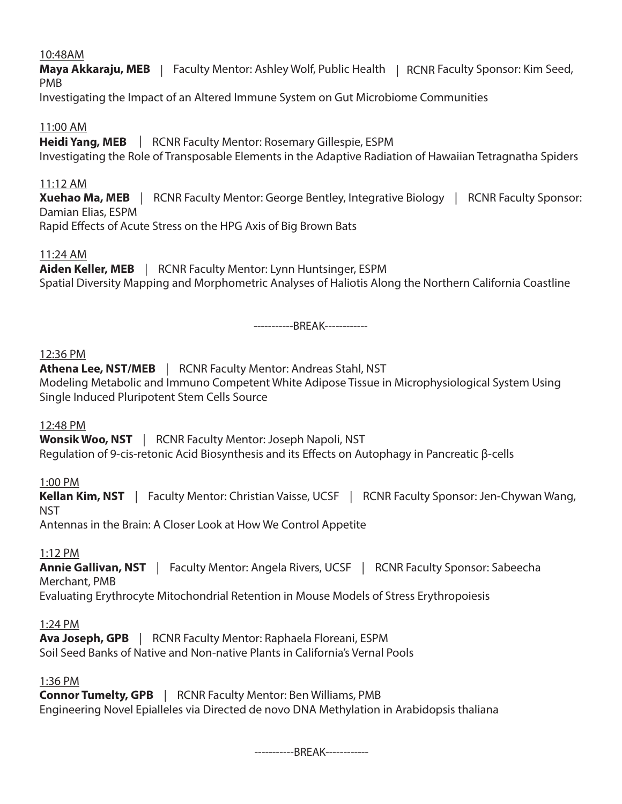#### 10:48AM

**Maya Akkaraju, MEB** | Faculty Mentor: Ashley Wolf, Public Health | RCNR Faculty Sponsor: Kim Seed, PMB

Investigating the Impact of an Altered Immune System on Gut Microbiome Communities

#### 11:00 AM

**Heidi Yang, MEB** | RCNR Faculty Mentor: Rosemary Gillespie, ESPM Investigating the Role of Transposable Elements in the Adaptive Radiation of Hawaiian Tetragnatha Spiders

#### 11:12 AM

**Xuehao Ma, MEB** | RCNR Faculty Mentor: George Bentley, Integrative Biology | RCNR Faculty Sponsor: Damian Elias, ESPM Rapid Effects of Acute Stress on the HPG Axis of Big Brown Bats

#### 11:24 AM

**Aiden Keller, MEB** | RCNR Faculty Mentor: Lynn Huntsinger, ESPM Spatial Diversity Mapping and Morphometric Analyses of Haliotis Along the Northern California Coastline

-----------BREAK------------

#### 12:36 PM

Athena Lee, NST/MEB | RCNR Faculty Mentor: Andreas Stahl, NST Modeling Metabolic and Immuno Competent White Adipose Tissue in Microphysiological System Using Single Induced Pluripotent Stem Cells Source

#### 12:48 PM

**Wonsik Woo, NST** | RCNR Faculty Mentor: Joseph Napoli, NST Regulation of 9-cis-retonic Acid Biosynthesis and its Effects on Autophagy in Pancreatic β-cells

1:00 PM

**Kellan Kim, NST** | Faculty Mentor: Christian Vaisse, UCSF | RCNR Faculty Sponsor: Jen-Chywan Wang, **NST** 

Antennas in the Brain: A Closer Look at How We Control Appetite

#### 1:12 PM

**Annie Gallivan, NST** | Faculty Mentor: Angela Rivers, UCSF | RCNR Faculty Sponsor: Sabeecha Merchant, PMB

Evaluating Erythrocyte Mitochondrial Retention in Mouse Models of Stress Erythropoiesis

#### 1:24 PM

**Ava Joseph, GPB** | RCNR Faculty Mentor: Raphaela Floreani, ESPM Soil Seed Banks of Native and Non-native Plants in California's Vernal Pools

#### 1:36 PM

**Connor Tumelty, GPB** | RCNR Faculty Mentor: Ben Williams, PMB Engineering Novel Epialleles via Directed de novo DNA Methylation in Arabidopsis thaliana

-----------BREAK------------